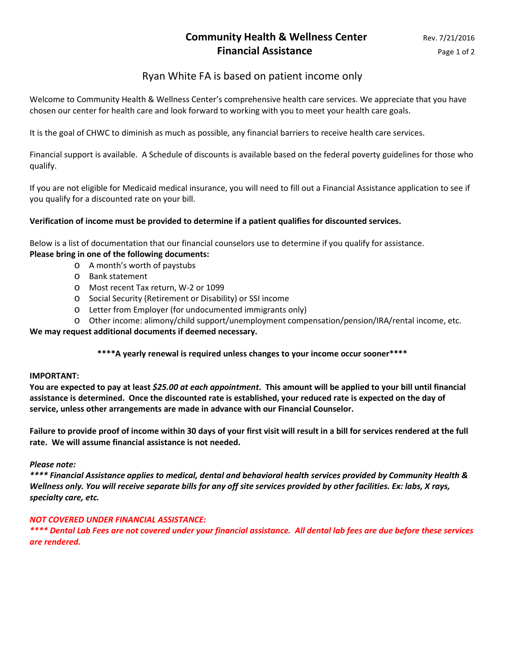# **Community Health & Wellness Center** Rev. 7/21/2016 **Financial Assistance Page 1 of 2**

## Ryan White FA is based on patient income only

Welcome to Community Health & Wellness Center's comprehensive health care services. We appreciate that you have chosen our center for health care and look forward to working with you to meet your health care goals.

It is the goal of CHWC to diminish as much as possible, any financial barriers to receive health care services.

Financial support is available. A Schedule of discounts is available based on the federal poverty guidelines for those who qualify.

If you are not eligible for Medicaid medical insurance, you will need to fill out a Financial Assistance application to see if you qualify for a discounted rate on your bill.

## **Verification of income must be provided to determine if a patient qualifies for discounted services.**

Below is a list of documentation that our financial counselors use to determine if you qualify for assistance.

## **Please bring in one of the following documents:**

- o A month's worth of paystubs
- o Bank statement
- o Most recent Tax return, W-2 or 1099
- o Social Security (Retirement or Disability) or SSI income
- o Letter from Employer (for undocumented immigrants only)
- o Other income: alimony/child support/unemployment compensation/pension/IRA/rental income, etc.

## **We may request additional documents if deemed necessary.**

**\*\*\*\*A yearly renewal is required unless changes to your income occur sooner\*\*\*\***

#### **IMPORTANT:**

**You are expected to pay at least** *\$25.00 at each appointment***. This amount will be applied to your bill until financial assistance is determined. Once the discounted rate is established, your reduced rate is expected on the day of service, unless other arrangements are made in advance with our Financial Counselor.**

**Failure to provide proof of income within 30 days of your first visit will result in a bill for services rendered at the full rate. We will assume financial assistance is not needed.**

#### *Please note:*

*\*\*\*\* Financial Assistance applies to medical, dental and behavioral health services provided by Community Health & Wellness only. You will receive separate bills for any off site services provided by other facilities. Ex: labs, X rays, specialty care, etc.*

## *NOT COVERED UNDER FINANCIAL ASSISTANCE:*

*\*\*\*\* Dental Lab Fees are not covered under your financial assistance. All dental lab fees are due before these services are rendered.*